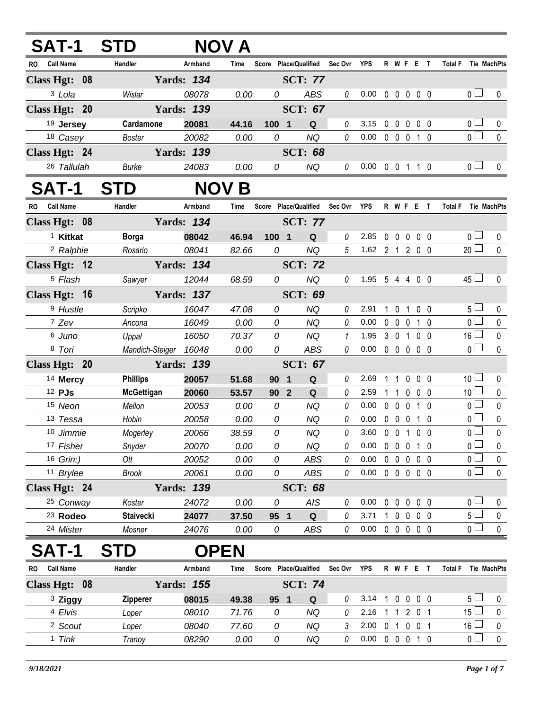| <b>SAT-1</b>            | <b>STD</b>            |                   | NOV A        |                 |                                        |                |                            |             |                   |             |                   |                       |              |
|-------------------------|-----------------------|-------------------|--------------|-----------------|----------------------------------------|----------------|----------------------------|-------------|-------------------|-------------|-------------------|-----------------------|--------------|
| <b>Call Name</b><br>RO. | Handler               | Armband           | Time         |                 | Score Place/Qualified                  | Sec Ovr YPS    |                            |             | R W F E T         |             |                   | <b>Total F</b>        | Tie MachPts  |
| Class Hgt: 08           |                       | <b>Yards: 134</b> |              |                 | <b>SCT: 77</b>                         |                |                            |             |                   |             |                   |                       |              |
| 3 Lola                  | Wislar                | 08078             | 0.00         | 0               | <b>ABS</b>                             | 0              | 0.00                       |             | 00000             |             |                   | 0 <sub>1</sub>        | 0            |
| Class Hgt: 20           |                       | <b>Yards: 139</b> |              |                 | <b>SCT: 67</b>                         |                |                            |             |                   |             |                   |                       |              |
| 19 Jersey               | Cardamone             | 20081             | 44.16        | 100 1           | Q                                      | 0              | 3.15                       | $\mathbf 0$ | $\mathbf 0$       | $\mathbf 0$ | $0\quad 0$        | 0 <sub>1</sub>        | 0            |
| 18 Casey                | <b>Boster</b>         | 20082             | 0.00         | 0               | <b>NQ</b>                              | $\theta$       | 0.00                       |             | 0 0 0 1 0         |             |                   | $\overline{0}$        | $\mathbf 0$  |
| Class Hgt: 24           |                       | <b>Yards: 139</b> |              |                 | <b>SCT: 68</b>                         |                |                            |             |                   |             |                   |                       |              |
| 26 Tallulah             | <b>Burke</b>          | 24083             | 0.00         | 0               | <b>NQ</b>                              | 0              | $0.00 \t0 \t0 \t1 \t1 \t0$ |             |                   |             |                   | 0 <sub>0</sub>        | $\mathbf{0}$ |
| SAT-1                   | <b>STD</b>            |                   | <b>NOV B</b> |                 |                                        |                |                            |             |                   |             |                   |                       |              |
| <b>Call Name</b><br>RO. | Handler               | Armband           | Time         |                 | Score Place/Qualified                  | Sec Ovr YPS    |                            |             | <b>RWFET</b>      |             |                   | Total F Tie MachPts   |              |
| Class Hgt: 08           |                       | <b>Yards: 134</b> |              |                 | <b>SCT: 77</b>                         |                |                            |             |                   |             |                   |                       |              |
| <sup>1</sup> Kitkat     | <b>Borga</b>          | 08042             | 46.94        | 1001            | Q                                      | 0              | 2.85                       | $0\quad 0$  |                   |             | $0\quad 0\quad 0$ | 0 <sub>0</sub>        | $\bf{0}$     |
| <sup>2</sup> Ralphie    | Rosario               | 08041             | 82.66        | 0               | <b>NQ</b>                              | $\overline{5}$ | 1.62 2 1 2 0 0             |             |                   |             |                   | $20$ $\Box$           | $\mathbf{0}$ |
| Class Hgt: 12           |                       | <b>Yards: 134</b> |              |                 | <b>SCT: 72</b>                         |                |                            |             |                   |             |                   |                       |              |
| <sup>5</sup> Flash      | Sawyer                | 12044             | 68.59        | 0               | <b>NQ</b>                              | 0              | 1.95 5 4 4 0 0             |             |                   |             |                   | $45\Box$              | 0            |
| Class Hgt: 16           |                       | <b>Yards: 137</b> |              |                 | <b>SCT: 69</b>                         |                |                            |             |                   |             |                   |                       |              |
| <sup>9</sup> Hustle     | Scripko               | 16047             | 47.08        | 0               | <b>NQ</b>                              | 0              | 2.91                       | 1.          | $\mathbf 0$       |             | 1 0 0             | 5 <sub>1</sub>        | 0            |
| 7 Zev                   | Ancona                | 16049             | 0.00         | 0               | <b>NQ</b>                              | 0              | 0.00                       |             | $0\quad 0$        | $\mathbf 0$ | 1 0               | $\overline{0}$        | $\pmb{0}$    |
| 6 Juno                  | Uppal                 | 16050             | 70.37        | 0               | <b>NQ</b>                              | 1              | 1.95                       |             | 3 0 1             |             | $0\quad 0$        | $16\sqcup$            | $\pmb{0}$    |
| 8 Tori                  | Mandich-Steiger 16048 |                   | 0.00         | 0               | <b>ABS</b>                             | 0              | 0.00                       |             | 00000             |             |                   | $\overline{0}$        | $\mathbf{0}$ |
| Class Hgt: 20           |                       | <b>Yards: 139</b> |              |                 | <b>SCT: 67</b>                         |                |                            |             |                   |             |                   |                       |              |
| <sup>14</sup> Mercy     | <b>Phillips</b>       | 20057             | 51.68        | 90              | $\mathbf Q$<br>$\overline{\mathbf{1}}$ | 0              | 2.69                       | 1           | 1                 | 0           | $0\quad 0$        | 10 <sup>1</sup>       | 0            |
| 12 PJs                  | <b>McGettigan</b>     | 20060             | 53.57        | 90 <sub>2</sub> | Q                                      | 0              | 2.59                       | 1           | $\overline{1}$    | $\mathbf 0$ | $0\quad 0$        | 10 <sup>1</sup>       | $\pmb{0}$    |
| 15 Neon                 | Mellon                | 20053             | 0.00         | 0               | <b>NQ</b>                              | 0              | 0.00                       |             | $0\quad 0\quad 0$ |             | $1\quad0$         | 0 <sub>0</sub>        | 0            |
| 13 Tessa                | Hobin                 | 20058             | 0.00         | 0               | <b>NQ</b>                              | 0              | 0.00                       |             | $0\quad 0\quad 0$ |             | $1\quad0$         | $\overline{0}$        | $\pmb{0}$    |
| 10 Jimmie               | Mogerley              | 20066             | 38.59        | 0               | <b>NQ</b>                              | 0              | 3.60 0 0 1 0 0             |             |                   |             |                   | 0 <sup>1</sup>        | $\pmb{0}$    |
| 17 Fisher               | Snyder                | 20070             | 0.00         | 0               | <b>NQ</b>                              | 0              | 0.00                       |             | 0 0 0 1 0         |             |                   | $\overline{0}$        | $\pmb{0}$    |
| 16 Grin:)               | Ott                   | 20052             | 0.00         | 0               | <b>ABS</b>                             | 0              | 0.00                       |             | 0 0 0 0 0         |             |                   | 0 L<br>$_0$ $\square$ | $\pmb{0}$    |
| 11 Brylee               | <b>Brook</b>          | 20061             | 0.00         | 0               | ABS                                    | 0              | $0.00 \t0 \t0 \t0 \t0 \t0$ |             |                   |             |                   |                       | $\mathbf 0$  |
| Class Hgt: 24           |                       | <b>Yards: 139</b> |              |                 | <b>SCT: 68</b>                         |                |                            |             |                   |             |                   |                       |              |
| 25 Conway               | Koster                | 24072             | 0.00         | 0               | <b>AIS</b>                             | 0              | 0.00                       |             | 0 0 0 0 0         |             |                   | 0 <sub>1</sub>        | 0            |
| <sup>23</sup> Rodeo     | <b>Staivecki</b>      | 24077             | 37.50        | 95 1            | ${\bf Q}$                              | 0              | 3.71                       |             | 10000             |             |                   | 5 <sub>1</sub>        | $\pmb{0}$    |
| 24 Mister               | Mosner                | 24076             | 0.00         | 0               | ABS                                    | 0              | $0.00 \t0 \t0 \t0 \t0 \t0$ |             |                   |             |                   | 0 <sub>0</sub>        | $\pmb{0}$    |
| SAT-1                   | <b>STD</b>            | <b>OPEN</b>       |              |                 |                                        |                |                            |             |                   |             |                   |                       |              |
| <b>Call Name</b><br>RO  | Handler               | Armband           | Time         |                 | Score Place/Qualified                  | Sec Ovr        | <b>YPS</b>                 |             | R W F E T         |             |                   | <b>Total F</b>        | Tie MachPts  |
| Class Hgt: 08           |                       | <b>Yards: 155</b> |              |                 | <b>SCT: 74</b>                         |                |                            |             |                   |             |                   |                       |              |
| <sup>3</sup> Ziggy      | <b>Zipperer</b>       | 08015             | 49.38        | 95 1            | Q                                      | $\theta$       | 3.14 1 0 0 0 0             |             |                   |             |                   | 5 <sup>1</sup>        | 0            |
| 4 Elvis                 | Loper                 | 08010             | 71.76        | 0               | NQ                                     | $\theta$       | 2.16 1 1 2 0 1             |             |                   |             |                   | $15 \Box$             | $\pmb{0}$    |

2 *Scout Loper 08040 77.60 0 NQ 3* 2.00 0 1 0 0 1 16 0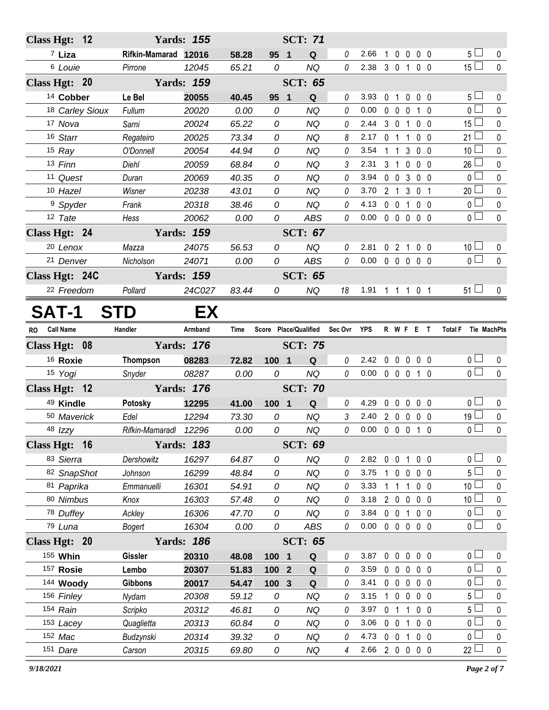| Class Hgt: 12        |                       | <b>Yards: 155</b> |                |                   | <b>SCT: 71</b>        |                |                            |                |                                |                |                             |                        |
|----------------------|-----------------------|-------------------|----------------|-------------------|-----------------------|----------------|----------------------------|----------------|--------------------------------|----------------|-----------------------------|------------------------|
| $7$ Liza             | Rifkin-Mamarad 12016  |                   | 58.28          | 95 1              | Q                     | $\theta$       | 2.66                       | $\mathbf{1}$   | $0\ 0\ 0\ 0$                   |                | 5 <sub>1</sub>              | 0                      |
| <sup>6</sup> Louie   | Pirrone               | 12045             | 65.21          | 0                 | <b>NQ</b>             | $\theta$       | 2.38 3 0 1 0 0             |                |                                |                | $15\square$                 | $\mathbf 0$            |
| Class Hgt: 20        |                       | <b>Yards: 159</b> |                |                   | <b>SCT: 65</b>        |                |                            |                |                                |                |                             |                        |
| <sup>14</sup> Cobber | Le Bel                | 20055             | 40.45          | 95<br>$\mathbf 1$ | Q                     | 0              | 3.93                       | 0 <sub>1</sub> | $\mathbf 0$                    | $0\quad 0$     | 5 <sub>1</sub>              | 0                      |
| 18 Carley Sioux      | Fullum                | 20020             | 0.00           | 0                 | <b>NQ</b>             | 0              | 0.00                       |                | $0\quad 0\quad 0$              | $1\quad0$      | $\overline{0}$              | $\mathbf 0$            |
| 17 Nova              | Sarni                 | 20024             | 65.22          | 0                 | <b>NQ</b>             | 0              | 2.44                       |                | 3 <sub>0</sub><br>$\mathbf{1}$ | $0\quad 0$     | $15\square$                 | 0                      |
| 16 Starr             | Regateiro             | 20025             | 73.34          | 0                 | <b>NQ</b>             | 8              | 2.17                       | 0 <sub>1</sub> | $\overline{1}$                 | $0\quad 0$     | $21 \square$                | $\pmb{0}$              |
| $15$ Ray             | O'Donnell             | 20054             | 44.94          | 0                 | <b>NQ</b>             | 0              | 3.54                       |                | $1\quad1$<br>3                 | $0\quad 0$     | 10 <sup>1</sup>             | $\mathbf 0$            |
| 13 Finn              | Diehl                 | 20059             | 68.84          | 0                 | <b>NQ</b>             | 3              | 2.31                       | $3 \quad 1$    | $\mathbf 0$                    | $0\quad 0$     | $26$ $\Box$                 | $\pmb{0}$              |
| 11 Quest             | Duran                 | 20069             | 40.35          | 0                 | <b>NQ</b>             | 0              | 3.94                       |                | $0 \t0 \t3$                    | $0\quad 0$     | $\overline{0}$              | 0                      |
| 10 Hazel             | Wisner                | 20238             | 43.01          | 0                 | <b>NQ</b>             | 0              | 3.70                       |                | 2 1 3 0 1                      |                | $20$ $\Box$                 | $\pmb{0}$              |
| <sup>9</sup> Spyder  | Frank                 | 20318             | 38.46          | 0                 | <b>NQ</b>             | 0              | 4.13                       |                | $0\quad 0$<br>$\mathbf{1}$     | 0 <sub>0</sub> | $\overline{0}$              | $\pmb{0}$              |
| 12 Tate              | Hess                  | 20062             | 0.00           | 0                 | ABS                   | 0              | $0.00 \t0 \t0 \t0 \t0 \t0$ |                |                                |                | $\overline{0}$              | $\mathbf 0$            |
| Class Hgt: 24        |                       | <b>Yards: 159</b> |                |                   | <b>SCT: 67</b>        |                |                            |                |                                |                |                             |                        |
| <sup>20</sup> Lenox  | Mazza                 | 24075             | 56.53          | 0                 | <b>NQ</b>             | 0              | 2.81                       |                | 02100                          |                | 10 <sup>1</sup>             | 0                      |
| 21 Denver            | Nicholson             | 24071             | 0.00           | 0                 | ABS                   | $\theta$       | $0.00 \t0 \t0 \t0 \t0 \t0$ |                |                                |                | $\overline{0}$              | $\mathbf{0}$           |
| Class Hgt: 24C       |                       | <b>Yards: 159</b> |                |                   | <b>SCT: 65</b>        |                |                            |                |                                |                |                             |                        |
| 22 Freedom           | Pollard               | 24C027            | 83.44          | 0                 | <b>NQ</b>             | 18             | 1.91 1 1 1 0 1             |                |                                |                | $51 \Box$                   | $\mathbf 0$            |
| <b>SAT-1</b>         | STD                   | EX                |                |                   |                       |                |                            |                |                                |                |                             |                        |
| RO Call Name         | Handler               | Armband           | Time           |                   | Score Place/Qualified | Sec Ovr YPS    |                            |                | R W F E T                      |                | Total F Tie MachPts         |                        |
|                      |                       |                   |                |                   |                       |                |                            |                |                                |                |                             |                        |
| Class Hgt: 08        |                       | <b>Yards: 176</b> |                |                   | <b>SCT: 75</b>        |                |                            |                |                                |                |                             |                        |
| <sup>16</sup> Roxie  | Thompson              | 08283             | 72.82          | 100 1             | Q                     | 0              | 2.42 0 0 0 0 0             |                |                                |                | 0 <sub>1</sub>              | 0                      |
| 15 Yogi              | Snyder                | 08287             | 0.00           | 0                 | NQ                    | $\theta$       | $0.00 \t0 \t0 \t0 \t1 \t0$ |                |                                |                | $\overline{0}$              | $\mathbf{0}$           |
| Class Hgt: 12        |                       | <b>Yards: 176</b> |                |                   | <b>SCT: 70</b>        |                |                            |                |                                |                |                             |                        |
| 49 Kindle            | Potosky               | 12295             | 41.00          | 100 1             | Q                     | 0              | 4.29                       |                | 00000                          |                | 0 <sub>0</sub>              | 0                      |
| 50 Maverick          | Edel                  | 12294             | 73.30          | 0                 | <b>NQ</b>             | $\mathfrak{Z}$ | 2.40                       |                | 2 0 0 0 0                      |                | 19 <sup>1</sup>             | $\pmb{0}$              |
| 48 Izzy              | Rifkin-Mamaradl 12296 |                   | 0.00           | 0                 | <b>NQ</b>             | 0              | $0.00 \t0 \t0 \t0 \t1 \t0$ |                |                                |                | 0 <sub>1</sub>              | $\Omega$               |
| Class Hgt: 16        |                       | <b>Yards: 183</b> |                |                   | <b>SCT: 69</b>        |                |                            |                |                                |                |                             |                        |
| 83 Sierra            | Dershowitz            | 16297             | 64.87          | 0                 | <b>NQ</b>             | 0              | $2.82 \t 0 \t 0$           |                | $\mathbf{1}$                   | $0\quad 0$     | 0 <sub>1</sub>              | 0                      |
| 82 SnapShot          | Johnson               | 16299             | 48.84          | 0                 | <b>NQ</b>             | 0              | 3.75                       |                | 10000                          |                | 5 <sup>L</sup>              | 0                      |
| 81 Paprika           | Emmanuelli            | 16301             | 54.91          | 0                 | <b>NQ</b>             | 0              | 3.33                       |                | $1\quad1$                      | $1 0 0$        | 10 <sup>L</sup>             | 0                      |
| 80 Nimbus            | Knox                  | 16303             | 57.48          | 0                 | <b>NQ</b>             | 0              | 3.18                       |                | 2 0 0 0 0                      |                | 10 <sup>L</sup>             | 0                      |
| 78 Duffey            | Ackley                | 16306             | 47.70          | 0                 | <b>NQ</b>             | 0              | 3.84 0 0 1                 |                |                                | 0 <sub>0</sub> | 0 <sub>1</sub>              | $\pmb{0}$              |
| 79 Luna              | Bogert                | 16304             | 0.00           | 0                 | ABS                   | 0              | 0.00                       |                | 0 0 0 0 0                      |                | 0 <sub>0</sub>              | $\pmb{0}$              |
| Class Hgt: 20        |                       | <b>Yards: 186</b> |                |                   | <b>SCT: 65</b>        |                |                            |                |                                |                |                             |                        |
| 155 Whin             | <b>Gissler</b>        | 20310             | 48.08          | 100 1             | Q                     | 0              | 3.87                       |                | 0 0 0 0 0                      |                | 0 <sub>1</sub>              | 0                      |
| 157 Rosie            | Lembo                 | 20307             | 51.83          | 100 2             | Q                     | 0              | 3.59                       |                | $0\quad 0\quad 0$              | 0 <sub>0</sub> | 0 <sub>0</sub>              | 0                      |
| 144 Woody            | <b>Gibbons</b>        | 20017             | 54.47          | 100 3             | $\mathbf Q$           | 0              | 3.41                       |                | 00000                          |                | 0 <sub>l</sub>              | 0                      |
| 156 Finley           | Nydam                 | 20308             | 59.12          | 0                 | <b>NQ</b>             | 0              | 3.15                       |                | $1 0 0$                        | $0\quad 0$     | 5 <sup>L</sup>              | 0                      |
| 154 Rain             | Scripko               | 20312             | 46.81          | 0                 | <b>NQ</b>             | 0              | 3.97                       |                | 0 <sub>1</sub><br>$\mathbf{1}$ | 0 <sub>0</sub> | 5 <sub>1</sub>              | 0                      |
| 153 Lacey            | Quaglietta            | 20313             | 60.84          | 0                 | <b>NQ</b>             | 0              | 3.06                       | $0\quad 0$     | $\mathbf 1$                    | 0 <sub>0</sub> | 0 L                         | 0                      |
| 152 Mac<br>151 Dare  | Budzynski<br>Carson   | 20314<br>20315    | 39.32<br>69.80 | 0<br>0            | <b>NQ</b><br>NQ       | 0<br>4         | 4.73<br>2.66 2 0 0 0 0     |                | $0 \t0 \t1$                    | 0 <sub>0</sub> | 0 <sub>0</sub><br>$22 \Box$ | $\pmb{0}$<br>$\pmb{0}$ |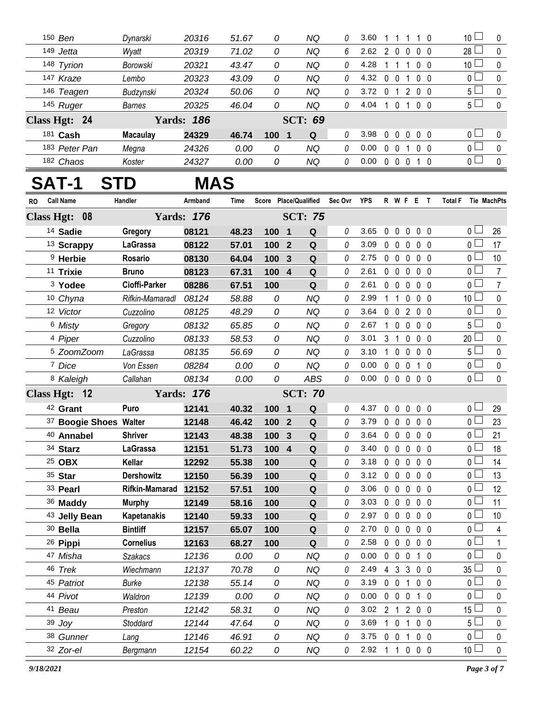| 150 Ben       | Dynarski        | 20316             | 51.67 | 0        | ΝQ             | 0 | 3.60 |              |        |            |                | 10 <sup>1</sup>                         |          |
|---------------|-----------------|-------------------|-------|----------|----------------|---|------|--------------|--------|------------|----------------|-----------------------------------------|----------|
| 149 Jetta     | Wyatt           | 20319             | 71.02 | 0        | ΝQ             | 6 | 2.62 | 2            | 0      | $0\quad 0$ |                | $28$ $-$                                | $\Omega$ |
| 148 Tyrion    | Borowski        | 20321             | 43.47 | 0        | ΝQ             | 0 | 4.28 |              |        |            | $0\quad 0$     | 10 <sup>1</sup>                         | $\Omega$ |
| 147 Kraze     | Lembo           | 20323             | 43.09 | 0        | ΝQ             | 0 | 4.32 | 0            |        |            | $0\quad 0$     | 0 <sub>l</sub>                          | $\Omega$ |
| 146 Teagen    | Budzynski       | 20324             | 50.06 | 0        | ΝQ             | 0 | 3.72 | $\mathbf{0}$ | 200    |            |                | 5 <sup>L</sup>                          | $\Omega$ |
| 145 Ruger     | <b>Barnes</b>   | 20325             | 46.04 | 0        | ΝQ             | 0 | 4.04 |              |        |            | 0 <sub>0</sub> | 5 <sub>1</sub>                          | $\Omega$ |
| Class Hgt: 24 |                 | <b>Yards: 186</b> |       |          | <b>SCT: 69</b> |   |      |              |        |            |                |                                         |          |
| 181 Cash      | <b>Macaulay</b> | 24329             | 46.74 | 100<br>1 | Q              | 0 | 3.98 | $\Omega$     | $\cup$ |            | 0 <sub>0</sub> | $\overline{0}$ $\Box$                   | $\Omega$ |
| 183 Peter Pan | Megna           | 24326             | 0.00  | 0        | ΝQ             | 0 | 0.00 | $\Omega$     |        |            | $0\quad 0$     | $\overline{0}$ $\overline{a}$           | $\Omega$ |
| 182 Chaos     | Koster          | 24327             | 0.00  | 0        | ΝQ             | 0 | 0.00 | $\Omega$     |        |            | 1 0            | $\overline{0}$ $\overline{\phantom{0}}$ | $\Omega$ |

## **SAT-1 STD MAS**

| RO | <b>Call Name</b>       | Handler              | Armband           | Time  |       |                         | Score Place/Qualified Sec Ovr YPS |          |      |                |                | <b>R W F E T</b> |                   |              | <b>Total F</b><br>Tie MachPts |                |
|----|------------------------|----------------------|-------------------|-------|-------|-------------------------|-----------------------------------|----------|------|----------------|----------------|------------------|-------------------|--------------|-------------------------------|----------------|
|    | Class Hgt: 08          |                      | <b>Yards: 176</b> |       |       |                         | <b>SCT: 75</b>                    |          |      |                |                |                  |                   |              |                               |                |
|    | 14 Sadie               | Gregory              | 08121             | 48.23 | 100 1 |                         | $\mathbf Q$                       | $\theta$ | 3.65 | 0 <sub>0</sub> |                | $\mathbf{0}$     | 0 <sub>0</sub>    |              | 0 L                           | 26             |
|    | <sup>13</sup> Scrappy  | LaGrassa             | 08122             | 57.01 | 100 2 |                         | Q                                 | 0        | 3.09 | $0\quad 0$     |                | 0                | 0 <sub>0</sub>    |              | 0 <sub>0</sub>                | 17             |
|    | <sup>9</sup> Herbie    | Rosario              | 08130             | 64.04 | 100 3 |                         | Q                                 | 0        | 2.75 |                | $0\quad 0$     | $\mathbf 0$      | $0\quad 0$        |              | $\overline{0}$                | 10             |
|    | 11 Trixie              | <b>Bruno</b>         | 08123             | 67.31 | 100 4 |                         | Q                                 | 0        | 2.61 | $0\quad 0$     |                | $\pmb{0}$        | 0 <sub>0</sub>    |              | 0 <sub>1</sub>                | $\overline{7}$ |
|    | <sup>3</sup> Yodee     | Cioffi-Parker        | 08286             | 67.51 | 100   |                         | Q                                 | 0        | 2.61 | $0\quad 0$     |                | $\pmb{0}$        | 0 <sub>0</sub>    |              | 0 <sub>0</sub>                | $\overline{7}$ |
|    | 10 Chyna               | Rifkin-Mamaradl      | 08124             | 58.88 | 0     |                         | <b>NQ</b>                         | $\theta$ | 2.99 | 1 <sub>1</sub> |                | $\pmb{0}$        | $0\quad 0$        |              | 10 <sup>1</sup>               | $\pmb{0}$      |
|    | 12 Victor              | Cuzzolino            | 08125             | 48.29 | 0     |                         | <b>NQ</b>                         | 0        | 3.64 | $\mathbf 0$    | $\mathbf 0$    | $\overline{2}$   | $0\quad 0$        |              | 0 L                           | $\pmb{0}$      |
|    | 6 Misty                | Gregory              | 08132             | 65.85 | 0     |                         | <b>NQ</b>                         | 0        | 2.67 | $\mathbf{1}$   | $\pmb{0}$      | $\pmb{0}$        | 0 <sub>0</sub>    |              | 5 L                           | $\mathbf 0$    |
|    | 4 Piper                | Cuzzolino            | 08133             | 58.53 | 0     |                         | <b>NQ</b>                         | 0        | 3.01 | 3              | $\overline{1}$ | $\mathbf 0$      | $0\quad 0$        |              | 20 <sub>2</sub>               | $\pmb{0}$      |
|    | <sup>5</sup> ZoomZoom  | LaGrassa             | 08135             | 56.69 | 0     |                         | <b>NQ</b>                         | $\theta$ | 3.10 | $\mathbf{1}$   | $\mathbf 0$    | $\mathbf{0}$     | 0 <sub>0</sub>    |              | 5 <sub>1</sub>                | 0              |
|    | 7 Dice                 | Von Essen            | 08284             | 0.00  | 0     |                         | <b>NQ</b>                         | 0        | 0.00 | $0\quad 0$     |                | 0                | $1\quad0$         |              | 0 <sub>1</sub>                | $\pmb{0}$      |
|    | 8 Kaleigh              | Callahan             | 08134             | 0.00  | 0     |                         | <b>ABS</b>                        | 0        | 0.00 |                |                | 00000            |                   |              | 0 <sub>0</sub>                | $\mathbf 0$    |
|    | Class Hgt: 12          |                      | <b>Yards: 176</b> |       |       |                         | <b>SCT: 70</b>                    |          |      |                |                |                  |                   |              |                               |                |
|    | 42 Grant               | Puro                 | 12141             | 40.32 | 100   | $\overline{\mathbf{1}}$ | $\mathbf Q$                       | 0        | 4.37 | 0              | 0              | $\pmb{0}$        | 0 <sub>0</sub>    |              | 0 <sup>L</sup>                | 29             |
|    | 37 Boogie Shoes Walter |                      | 12148             | 46.42 | 100 2 |                         | Q                                 | $\Omega$ | 3.79 |                | $0\quad 0$     | $\mathbf 0$      | 0 <sub>0</sub>    |              | $0 -$                         | 23             |
|    | 40 Annabel             | <b>Shriver</b>       | 12143             | 48.38 | 100   | $\mathbf{3}$            | $\mathbf Q$                       | 0        | 3.64 | $0\quad 0$     |                | $\pmb{0}$        | $0\quad 0$        |              | 0 L                           | 21             |
|    | 34 Starz               | <b>LaGrassa</b>      | 12151             | 51.73 | 100 4 |                         | Q                                 | 0        | 3.40 | $0\quad 0$     |                | $\pmb{0}$        | 0 <sub>0</sub>    |              | 0 <sup>L</sup>                | 18             |
|    | 25 OBX                 | Kellar               | 12292             | 55.38 | 100   |                         | Q                                 | 0        | 3.18 |                | $0\quad 0$     | $\mathbf 0$      | $0\quad 0$        |              | $\overline{0}$                | 14             |
|    | 35 Star                | <b>Dershowitz</b>    | 12150             | 56.39 | 100   |                         | Q                                 | 0        | 3.12 | $0\quad 0$     |                | $\mathbf{0}$     | 0 <sub>0</sub>    |              | 0 <sub>0</sub>                | 13             |
|    | 33 Pearl               | Rifkin-Mamarad 12152 |                   | 57.51 | 100   |                         | Q                                 | $\theta$ | 3.06 | $0\quad 0$     |                | 0                | $0\quad 0$        |              | 0 <sub>l</sub>                | 12             |
|    | 36 Maddy               | <b>Murphy</b>        | 12149             | 58.16 | 100   |                         | ${\bf Q}$                         | 0        | 3.03 |                | $0\quad 0$     | $\pmb{0}$        | $0\quad 0$        |              | $0 -$                         | 11             |
|    | 43 Jelly Bean          | <b>Kapetanakis</b>   | 12140             | 59.33 | 100   |                         | Q                                 | 0        | 2.97 | $\mathbf 0$    | $\overline{0}$ | $\pmb{0}$        | $0\quad 0$        |              | 0 L                           | 10             |
|    | 30 Bella               | <b>Bintliff</b>      | 12157             | 65.07 | 100   |                         | Q                                 | 0        | 2.70 | $\mathbf{0}$   | $\overline{0}$ | $\mathbf{0}$     | 0 <sub>0</sub>    |              | 0                             | 4              |
|    | 26 Pippi               | <b>Cornelius</b>     | 12163             | 68.27 | 100   |                         | Q                                 | $\theta$ | 2.58 |                | $0\quad 0$     | $\pmb{0}$        | $0\quad 0$        |              | $\overline{0}$                | $\mathbf{1}$   |
|    | 47 Misha               | <b>Szakacs</b>       | 12136             | 0.00  | 0     |                         | <b>NQ</b>                         | 0        | 0.00 | 0              | $\overline{0}$ | 0                | 1 <sub>0</sub>    |              | $\overline{0}$                | $\pmb{0}$      |
|    | 46 Trek                | Wiechmann            | 12137             | 70.78 | 0     |                         | <b>NQ</b>                         | 0        | 2.49 |                | $4 \quad 3$    | $\mathbf{3}$     | $0\quad 0$        |              | $35 \perp$                    | $\mathbf 0$    |
|    | 45 Patriot             | Burke                | 12138             | 55.14 | 0     |                         | <b>NQ</b>                         | 0        | 3.19 |                | $0 \t0 \t1$    |                  | 0 <sub>0</sub>    |              | 0 <sub>0</sub>                | $\pmb{0}$      |
|    | 44 Pivot               | Waldron              | 12139             | 0.00  | 0     |                         | <b>NQ</b>                         | 0        | 0.00 | $0\quad 0$     |                | $\pmb{0}$        | 1                 | $\mathbf{0}$ | 0 <sub>0</sub>                | 0              |
|    | 41 Beau                | Preston              | 12142             | 58.31 | 0     |                         | <b>NQ</b>                         | 0        | 3.02 | $\overline{2}$ | $\overline{1}$ | $\overline{2}$   | $0\quad 0$        |              | 15 <sup>L</sup>               | $\pmb{0}$      |
|    | 39 Joy                 | Stoddard             | 12144             | 47.64 | 0     |                         | <b>NQ</b>                         | 0        | 3.69 | $\overline{1}$ | $\mathbf 0$    | $\mathbf{1}$     | 0 <sub>0</sub>    |              | 5 <sub>1</sub>                | $\pmb{0}$      |
|    | 38 Gunner              | Lang                 | 12146             | 46.91 | 0     |                         | <b>NQ</b>                         | 0        | 3.75 | $\mathbf 0$    | $\overline{0}$ | $\mathbf{1}$     | 0 <sub>0</sub>    |              | $\overline{0}$                | $\pmb{0}$      |
|    | 32 Zor-el              | Bergmann             | 12154             | 60.22 | 0     |                         | <b>NQ</b>                         | 0        | 2.92 |                | $1\quad1$      |                  | $0\quad 0\quad 0$ |              | 10 <sup>1</sup>               | $\mathbf 0$    |
|    |                        |                      |                   |       |       |                         |                                   |          |      |                |                |                  |                   |              |                               |                |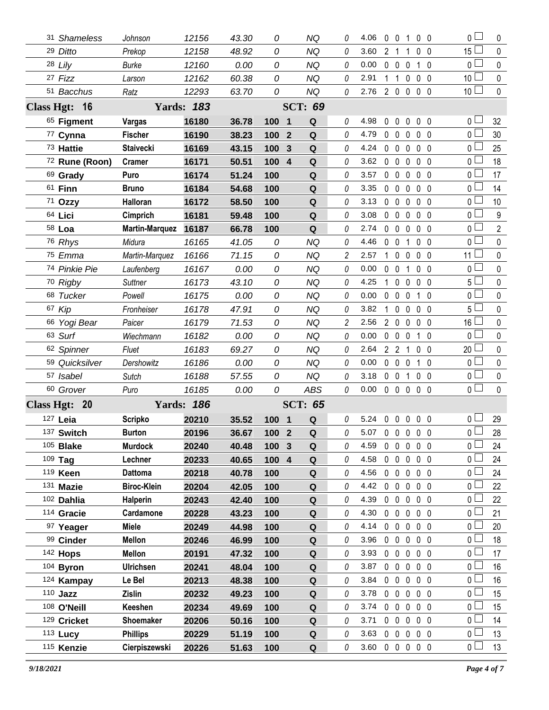| 31 Shameless           | Johnson                          | 12156             | 43.30          | 0             | ΝQ                    | 0              | 4.06           |                | $0\quad 0$        | $\overline{1}$                   | $0\quad 0$                       |                | 0 <sub>l</sub>                   | $\mathbf{0}$   |
|------------------------|----------------------------------|-------------------|----------------|---------------|-----------------------|----------------|----------------|----------------|-------------------|----------------------------------|----------------------------------|----------------|----------------------------------|----------------|
| 29 Ditto               | Prekop                           | 12158             | 48.92          | 0             | <b>NQ</b>             | 0              | 3.60           | 2 <sub>1</sub> |                   | 1                                | 0 <sub>0</sub>                   |                | $15 -$                           | $\mathbf 0$    |
| 28 Lily                | <b>Burke</b>                     | 12160             | 0.00           | 0             | <b>NQ</b>             | 0              | 0.00           |                | $0\quad 0$        | $\mathbf 0$                      | 10                               |                | 0 <sup>1</sup>                   | $\mathbf 0$    |
| 27 Fizz                | Larson                           | 12162             | 60.38          | 0             | <b>NQ</b>             | 0              | 2.91           | 1.             | $\mathbf{1}$      | 0                                | 0 <sub>0</sub>                   |                | 10 <sup>2</sup>                  | $\mathbf 0$    |
| 51 Bacchus             | Ratz                             | 12293             | 63.70          | 0             | <b>NQ</b>             | 0              | 2.76           |                |                   | 2 0 0 0 0                        |                                  |                | 10 <sup>1</sup>                  | $\mathbf 0$    |
| Class Hgt: 16          |                                  | <b>Yards: 183</b> |                |               | <b>SCT: 69</b>        |                |                |                |                   |                                  |                                  |                |                                  |                |
| 65 Figment             | Vargas                           | 16180             | 36.78          | 100 1         | Q                     | 0              | 4.98           | 0              | $\mathbf 0$       | $\mathbf 0$                      | 0 <sub>0</sub>                   |                | 0 L                              | 32             |
| 77 Cynna               | <b>Fischer</b>                   | 16190             | 38.23          | 100           | Q<br>$\mathbf{2}$     | 0              | 4.79           |                | 0 <sub>0</sub>    | $\mathbf{0}$                     | 0 <sub>0</sub>                   |                | 0 <sub>0</sub>                   | 30             |
| 73 Hattie              | <b>Staivecki</b>                 | 16169             | 43.15          | 100           | Q<br>3                | $\theta$       | 4.24           |                | $0\quad 0$        | $\mathbf 0$                      | $0\quad 0$                       |                | 0 <sub>0</sub>                   | 25             |
| 72 Rune (Roon)         | Cramer                           | 16171             | 50.51          | 100           | $\boldsymbol{4}$<br>Q | 0              | 3.62           |                | $0\quad 0$        | 0                                | $0\quad 0$                       |                | 0 L                              | 18             |
| 69 Grady               | Puro                             | 16174             | 51.24          | 100           | Q                     | 0              | 3.57           |                | $0\quad 0$        | $\mathbf 0$                      | 0 <sub>0</sub>                   |                | 0 <sub>0</sub>                   | 17             |
| 61 <b>Finn</b>         | <b>Bruno</b>                     | 16184             | 54.68          | 100           | Q                     | 0              | 3.35           |                | 0 <sub>0</sub>    | $\mathbf{0}$                     | 0 <sub>0</sub>                   |                | 0 L                              | 14             |
| 71 Ozzy                | Halloran                         | 16172             | 58.50          | 100           | Q                     | 0              | 3.13           |                | $0\quad 0$        | $\mathbf 0$                      | 0 <sub>0</sub>                   |                | $0-$                             | 10             |
| 64 Lici                | Cimprich                         | 16181             | 59.48          | 100           | Q                     | 0              | 3.08           |                | $0\quad 0$        | 0                                | 0 <sub>0</sub>                   |                | 0 <sub>0</sub>                   | 9              |
| 58 Loa                 | <b>Martin-Marquez</b>            | 16187             | 66.78          | 100           | Q                     | $\theta$       | 2.74           | $\mathbf{0}$   | $\mathbf 0$       | $\mathbf 0$                      | 0 <sub>0</sub>                   |                | 0 <sub>0</sub>                   | $\overline{2}$ |
| 76 Rhys                | Midura                           | 16165             | 41.05          | 0             | <b>NQ</b>             | 0              | 4.46           | 0              | $\overline{0}$    | 1                                | 0 <sub>0</sub>                   |                | 0 <sub>0</sub>                   | 0              |
| 75 Emma                | Martin-Marquez                   | 16166             | 71.15          | 0             | <b>NQ</b>             | $\overline{c}$ | 2.57           | $\mathbf{1}$   | $\mathbf 0$       | $\mathbf 0$                      | 0 <sub>0</sub>                   |                | 11 L                             | 0              |
| 74 Pinkie Pie          | Laufenberg                       | 16167             | 0.00           | 0             | <b>NQ</b>             | 0              | 0.00           | $\mathbf 0$    | $\overline{0}$    | 1                                | 0 <sub>0</sub>                   |                | $\mathbf 0$                      | $\mathbf 0$    |
| 70 Rigby               | <b>Suttner</b>                   | 16173             | 43.10          | 0             | <b>NQ</b>             | 0              | 4.25           | 1              | $\mathbf 0$       | $\mathbf{0}$                     | 0 <sub>0</sub>                   |                | 5 L                              | $\mathbf 0$    |
| 68 Tucker              | Powell                           | 16175             | 0.00           | 0             | ΝQ                    | 0              | 0.00           | $\mathbf{0}$   | $\mathbf{0}$      | $\mathbf{0}$                     | 1 0                              |                | 0 l                              | 0              |
| 67 Kip                 | Fronheiser                       | 16178             | 47.91          | 0             | <b>NQ</b>             | 0              | 3.82           | 1              | $\mathbf 0$       | $\mathbf{0}$                     | 0 <sub>0</sub>                   |                | 5 L                              | 0              |
| 66 Yogi Bear           | Paicer                           | 16179             | 71.53          | 0             | NQ                    | 2              | 2.56           |                | $2\quad0$         | $\mathbf 0$                      | $0\quad 0$                       |                | 16 <sup>L</sup>                  | $\mathbf 0$    |
| 63 Surf                | Wiechmann                        | 16182             | 0.00           | 0             | <b>NQ</b>             | 0              | 0.00           |                | $0\quad 0$        | $\mathbf 0$                      | $1\quad0$                        |                | 0 <sub>1</sub>                   | $\mathbf 0$    |
| 62 Spinner             | Fluet                            | 16183             | 69.27          | 0             | <b>NQ</b>             | 0              | 2.64           |                | $2 \t2 \t1$       |                                  | 0 <sub>0</sub>                   |                | 20                               | $\mathbf 0$    |
| 59 Quicksilver         | Dershowitz                       | 16186             | 0.00           | 0             | <b>NQ</b>             | 0              | 0.00           | $\mathbf 0$    | $\mathbf 0$       | $\mathbf 0$                      | $1\quad0$                        |                | 0 l                              | $\mathbf 0$    |
| 57 Isabel              | Sutch                            | 16188             | 57.55          | 0             | <b>NQ</b>             | 0              | 3.18           |                | $0\quad 0$        | 1                                | 0 <sub>0</sub>                   |                | 0 l                              | $\mathbf 0$    |
| 60 Grover              | Puro                             | 16185             | 0.00           | 0             | <b>ABS</b>            | 0              | 0.00           |                | $0\quad 0\quad 0$ |                                  | 0 <sub>0</sub>                   |                | 0 <sup>1</sup>                   | $\Omega$       |
| Class Hgt: 20          |                                  | <b>Yards: 186</b> |                |               | <b>SCT: 65</b>        |                |                |                |                   |                                  |                                  |                |                                  |                |
| 127 Leia               | <b>Scripko</b>                   | 20210             | 35.52          | 100 1         | Q                     | 0              | 5.24           |                |                   | 00000                            |                                  |                | 0 I                              | 29             |
| 137 Switch             | <b>Burton</b>                    | 20196             | 36.67          | 100 2         | $\mathbf{Q}$          | 0              | 5.07 0 0 0 0 0 |                |                   |                                  |                                  |                | $\overline{0}$                   | 28             |
| $105$ Blake            | <b>Murdock</b>                   | 20240             | 40.48          | 100           | $\mathbf{3}$<br>Q     | 0              | 4.59           |                | $0\quad 0$        | $\mathbf 0$                      | 0 <sub>0</sub>                   |                | 0 L                              | 24             |
| 109 Tag                | Lechner                          | 20233             | 40.65          | $100 \quad 4$ | Q                     | 0              | 4.58           |                | $0\quad 0$        | $\overline{0}$                   | 0 <sub>0</sub>                   |                | 0 L                              | 24             |
| 119 Keen               | <b>Dattoma</b>                   | 20218             | 40.78          | 100           | Q                     | 0              | 4.56           |                | $0\quad 0$        | $\mathbf 0$                      | $0\quad 0$                       |                | $0-$                             | 24             |
| 131 Mazie              | <b>Biroc-Klein</b>               | 20204             | 42.05          | 100           | Q                     | 0              | 4.42           |                | $0\quad 0$        | $\mathbf 0$                      | 0 <sub>0</sub>                   |                | 0 L                              | 22             |
| 102 Dahlia             | <b>Halperin</b>                  | 20243             | 42.40          | 100           | Q                     | 0              | 4.39           |                | $0\quad 0$        | 0                                | 0 <sub>0</sub>                   |                | 0 l                              | 22             |
| 114 Gracie             | Cardamone                        | 20228             | 43.23          | 100           | Q                     | 0              | 4.30           |                | $0\quad 0$        | $\mathbf 0$                      | 0 <sub>0</sub>                   |                | 0 l                              | 21             |
| 97 Yeager              | <b>Miele</b>                     | 20249             | 44.98          | 100           | Q                     | 0              | 4.14           |                | $0\quad 0$        | $\mathbf 0$                      | 0 <sub>0</sub>                   |                | 0 L                              | 20             |
|                        |                                  |                   |                |               | Q                     | 0              | 3.96           |                |                   |                                  |                                  | 0 <sub>0</sub> | 0 <sub>0</sub>                   | 18             |
| 99 Cinder              | <b>Mellon</b>                    | 20246             | 46.99          | 100           |                       |                |                |                | $0\quad 0$        | $\mathbf 0$                      |                                  |                |                                  |                |
| 142 Hops               | <b>Mellon</b>                    | 20191             | 47.32          | 100           | Q                     | 0              | 3.93           |                | $0\quad 0$        | $\mathbf 0$                      | 0 <sub>0</sub>                   |                | 0 <sub>0</sub>                   | 17             |
| 104 Byron              | <b>Ulrichsen</b>                 | 20241             | 48.04          | 100           | Q                     | 0              | 3.87           |                | $0\quad 0$        | $\mathbf 0$                      | 0 <sub>0</sub>                   |                | 0 <sub>0</sub>                   | 16             |
| 124 Kampay             | Le Bel                           | 20213             | 48.38          | 100           | Q                     | 0              | 3.84           |                | $0\quad 0$        | $\mathbf 0$                      | 0 <sub>0</sub>                   |                | 0 <sub>0</sub>                   | 16             |
| $110$ Jazz             | Zislin                           | 20232             | 49.23          | 100           | Q                     | 0              | 3.78           |                | $0\quad 0$        | $\mathbf 0$                      | 0 <sub>0</sub>                   |                | 0 <sub>0</sub>                   | 15             |
| 108 O'Neill            | Keeshen                          | 20234             | 49.69          | 100           | Q                     | 0              | 3.74           |                | $0\quad 0$        | $\mathbf 0$                      | 0 <sub>0</sub>                   |                | 0 l                              | 15             |
| 129 Cricket            | Shoemaker                        | 20206             | 50.16          | 100           | Q                     | 0              | 3.71           |                | $0\quad 0$        | $\mathbf 0$                      | 0 <sub>0</sub>                   |                | 0 l                              | 14             |
| 113 Lucy<br>115 Kenzie | <b>Phillips</b><br>Cierpiszewski | 20229<br>20226    | 51.19<br>51.63 | 100<br>100    | Q<br>Q                | 0<br>0         | 3.63<br>3.60   |                | $0\quad 0$        | $\mathbf 0$<br>$0\quad 0\quad 0$ | 0 <sub>0</sub><br>0 <sub>0</sub> |                | 0 <sub>0</sub><br>0 <sub>1</sub> | 13<br>13       |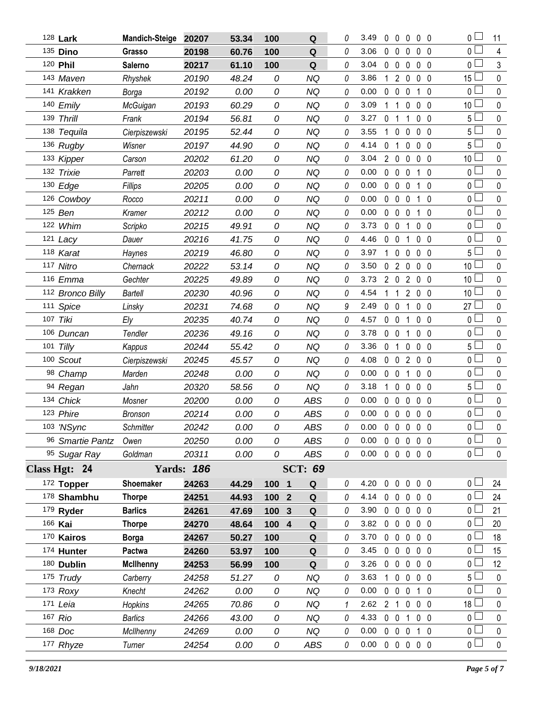|     | 128 Lark         | <b>Mandich-Steige</b> | 20207             | 53.34 | 100   | $\mathbf Q$         | 0 | 3.49                       | 0              | 0                 | 0              | 0 <sub>0</sub> |                | 0 L                   | 11           |
|-----|------------------|-----------------------|-------------------|-------|-------|---------------------|---|----------------------------|----------------|-------------------|----------------|----------------|----------------|-----------------------|--------------|
|     | 135 Dino         | Grasso                | 20198             | 60.76 | 100   | Q                   | 0 | 3.06                       | 0              | $\mathbf 0$       | 0              | 0              | - 0            | $\overline{0}$ $\Box$ | 4            |
|     | 120 Phil         | Salerno               | 20217             | 61.10 | 100   | ${\bf Q}$           | 0 | 3.04                       | $\mathbf 0$    | $\overline{0}$    | 0              | 0              | $\overline{0}$ | 0 L                   | 3            |
|     | 143 Maven        | Rhyshek               | 20190             | 48.24 | 0     | NQ                  | 0 | 3.86                       |                | $\overline{2}$    | 0              | $\mathbf 0$    | 0              | 15                    | $\pmb{0}$    |
|     | 141 Krakken      | Borga                 | 20192             | 0.00  | 0     | <b>NQ</b>           | 0 | 0.00                       | 0              | $\mathbf 0$       | 0              | 1 <sub>0</sub> |                | 0 <sub>1</sub>        | $\mathbf 0$  |
|     | 140 Emily        | McGuigan              | 20193             | 60.29 | 0     | <b>NQ</b>           | 0 | 3.09                       |                | 1                 | 0              | 0              | - 0            | 10                    | $\pmb{0}$    |
| 139 | <b>Thrill</b>    | Frank                 | 20194             | 56.81 | 0     | <b>NQ</b>           | 0 | 3.27                       | 0              | 1                 | 1              | 0              | $\overline{0}$ | 5 L                   | $\mathbf 0$  |
|     | 138 Tequila      | Cierpiszewski         | 20195             | 52.44 | 0     | <b>NQ</b>           | 0 | 3.55                       | 1              | $\mathbf 0$       | 0              | $\mathbf 0$    | 0              | 5                     | $\pmb{0}$    |
|     | 136 Rugby        | Wisner                | 20197             | 44.90 | 0     | <b>NQ</b>           | 0 | 4.14                       | 0              | 1                 | 0              | 0 <sub>0</sub> |                | 5 l                   | $\mathbf 0$  |
|     | 133 Kipper       | Carson                | 20202             | 61.20 | 0     | <b>NQ</b>           | 0 | 3.04                       | $\overline{2}$ | $\mathbf 0$       | 0              | $\mathbf 0$    | - 0            | 10                    | $\pmb{0}$    |
|     | 132 Trixie       | Parrett               | 20203             | 0.00  | 0     | <b>NQ</b>           | 0 | 0.00                       | 0              | $\mathbf 0$       | 0              | $\mathbf{1}$   | 0              | 0                     | $\mathbf 0$  |
|     | 130 Edge         | Fillips               | 20205             | 0.00  | 0     | <b>NQ</b>           | 0 | 0.00                       | $\mathbf 0$    | $\mathbf 0$       | $\mathbf{0}$   | $\mathbf{1}$   | $\overline{0}$ | 0 <sub>0</sub>        | $\pmb{0}$    |
|     | 126 Cowboy       | Rocco                 | 20211             | 0.00  | 0     | <b>NQ</b>           | 0 | 0.00                       | $\mathbf 0$    | $\mathbf 0$       | 0              | $1\quad0$      |                | 0 <sub>0</sub>        | $\mathbf 0$  |
|     | 125 Ben          | Kramer                | 20212             | 0.00  | 0     | <b>NQ</b>           | 0 | 0.00                       | 0              | $\mathbf 0$       | 0              | $\mathbf{1}$   | $\overline{0}$ | $\overline{0}$        | $\pmb{0}$    |
|     | 122 Whim         | Scripko               | 20215             | 49.91 | 0     | <b>NQ</b>           | 0 | 3.73                       | 0              | $\mathbf 0$       | 1              | 0 <sub>0</sub> |                | $\overline{0}$        | $\mathbf 0$  |
|     | 121 Lacy         | Dauer                 | 20216             | 41.75 | 0     | <b>NQ</b>           | 0 | 4.46                       | 0              | $\mathbf 0$       | 1              | 0 <sub>0</sub> |                | $\overline{0}$        | $\pmb{0}$    |
|     | 118 Karat        | Haynes                | 20219             | 46.80 | 0     | <b>NQ</b>           | 0 | 3.97                       | 1              | $\mathbf{0}$      | 0              | 0 <sub>0</sub> |                | $5+$                  | $\pmb{0}$    |
|     | 117 Nitro        | Chernack              | 20222             | 53.14 | 0     | <b>NQ</b>           | 0 | 3.50                       | 0              | $\overline{2}$    | 0              | 0 <sub>0</sub> |                | 10                    | $\pmb{0}$    |
|     | 116 Emma         | Gechter               | 20225             | 49.89 | 0     | <b>NQ</b>           | 0 | 3.73                       | $2^{\circ}$    | $\overline{0}$    | $\overline{2}$ | 0 <sub>0</sub> |                | 10                    | 0            |
|     | 112 Bronco Billy | <b>Bartell</b>        | 20230             | 40.96 | 0     | <b>NQ</b>           | 0 | 4.54                       | 1              | $\mathbf{1}$      | $\overline{2}$ | 0 <sub>0</sub> |                | 10                    | $\pmb{0}$    |
|     | 111 Spice        | Linsky                | 20231             | 74.68 | 0     | <b>NQ</b>           | 9 | 2.49                       | $\mathbf 0$    | $\mathbf 0$       | 1              | 0 <sub>0</sub> |                | 27                    | $\mathbf 0$  |
|     | 107 Tiki         | Ely                   | 20235             | 40.74 | 0     | <b>NQ</b>           | 0 | 4.57                       | 0              | $\overline{0}$    | 1              | $\mathbf 0$    | $\overline{0}$ | 0 <sup>2</sup>        | $\pmb{0}$    |
|     | 106 Duncan       | Tendler               | 20236             | 49.16 | 0     | <b>NQ</b>           | 0 | 3.78                       | 0              | $\mathbf 0$       | 1              | 0 <sub>0</sub> |                | ΟL                    | $\mathbf 0$  |
| 101 | Tilly            | Kappus                | 20244             | 55.42 | 0     | <b>NQ</b>           | 0 | 3.36                       | 0              | $\mathbf 1$       | 0              | 0 <sub>0</sub> |                | $5\Box$               | $\pmb{0}$    |
|     | 100 Scout        | Cierpiszewski         | 20245             | 45.57 | 0     | <b>NQ</b>           | 0 | 4.08                       | $\mathbf 0$    | $\mathbf 0$       | 2              | 0 <sub>0</sub> |                | 0 <sub>0</sub>        | $\mathbf 0$  |
|     | 98 Champ         | Marden                | 20248             | 0.00  | 0     | <b>NQ</b>           | 0 | 0.00                       | 0              | $\mathbf 0$       | 1              | $\mathbf 0$    | $\overline{0}$ | $\overline{0}$        | $\pmb{0}$    |
|     | 94 Regan         | Jahn                  | 20320             | 58.56 | 0     | <b>NQ</b>           | 0 | 3.18                       | 1              | 0                 | 0              | 0              | 0              | 5                     | $\mathbf 0$  |
|     | 134 Chick        | Mosner                | 20200             | 0.00  | 0     | <b>ABS</b>          | 0 | 0.00                       | $\mathbf{0}$   | $\mathbf 0$       | 0              | 0 <sub>0</sub> |                | 0 <sub>0</sub>        | $\pmb{0}$    |
|     | 123 Phire        | <b>Bronson</b>        | 20214             | 0.00  | 0     | <b>ABS</b>          | 0 | 0.00                       | $\mathbf 0$    | $\mathbf{0}$      | 0              | 0 <sub>0</sub> |                | 0                     | $\pmb{0}$    |
|     | 103 'NSync       | Schmitter             | 20242             | 0.00  | 0     | <b>ABS</b>          | 0 | 0.00                       | $\mathbf 0$    | $\mathbf 0$       | $\mathbf 0$    | $\mathbf 0$    | $\overline{0}$ | $\overline{0}$        | $\mathbf 0$  |
|     | 96 Smartie Pantz | Owen                  | 20250             | 0.00  | 0     | ABS                 | 0 | 0.00                       |                |                   | 00000          |                |                | 0 <sub>0</sub>        | 0            |
|     | 95 Sugar Ray     | Goldman               | 20311             | 0.00  | 0     | ABS                 | 0 | 0.00                       |                |                   | 00000          |                |                | $\overline{0}$ $\Box$ | $\mathbf 0$  |
|     | Class Hgt: 24    |                       | <b>Yards: 186</b> |       |       | <b>SCT: 69</b>      |   |                            |                |                   |                |                |                |                       |              |
|     | 172 Topper       | Shoemaker             | 24263             | 44.29 | 100 1 | Q                   | 0 | 4.20                       |                |                   | 00000          |                |                | 0 <sub>1</sub>        | 24           |
|     | 178 Shambhu      | <b>Thorpe</b>         | 24251             | 44.93 | 100   | Q<br>$\overline{2}$ | 0 | 4.14                       |                | $0\quad 0\quad 0$ |                | $0\quad 0$     |                | 0 <sub>1</sub>        | 24           |
|     | 179 Ryder        | <b>Barlics</b>        | 24261             | 47.69 | 100   | $\mathbf{3}$<br>Q   | 0 | 3.90                       |                | $0\quad 0\quad 0$ |                | $0\quad 0$     |                | 0 L                   | 21           |
|     | 166 Kai          | <b>Thorpe</b>         | 24270             | 48.64 | 100 4 | Q                   | 0 | 3.82                       |                | $0\quad 0$        | $\mathbf 0$    | $0\quad 0$     |                | 0 <sub>1</sub>        | 20           |
|     | 170 Kairos       | <b>Borga</b>          | 24267             | 50.27 | 100   | Q                   | 0 | 3.70                       |                | $0\quad 0$        | 0              | $0\quad 0$     |                | 0 L                   | 18           |
|     | 174 Hunter       | Pactwa                | 24260             | 53.97 | 100   | Q                   | 0 | 3.45                       |                | $0\quad 0$        | $\overline{0}$ | $0\quad 0$     |                | $0-$                  | 15           |
|     | 180 Dublin       | <b>McIlhenny</b>      | 24253             | 56.99 | 100   | Q                   | 0 | 3.26                       |                | $0\quad 0$        | $\mathbf 0$    | $0\quad 0$     |                | 0 l                   | 12           |
|     | 175 Trudy        | Carberry              | 24258             | 51.27 | 0     | NQ                  | 0 | 3.63                       | $\mathbf{1}$   | $\overline{0}$    | $\mathbf 0$    | $0\quad 0$     |                | 5 L                   | $\pmb{0}$    |
|     | $173$ Roxy       | Knecht                | 24262             | 0.00  | 0     | NQ                  | 0 | 0.00                       |                | $0\quad 0\quad 0$ |                | $1\quad0$      |                | Οl                    | 0            |
|     | 171 Leia         | Hopkins               | 24265             | 70.86 | 0     | NQ                  | 1 | 2.62                       |                | 2 <sub>1</sub>    | $\overline{0}$ | $0\quad 0$     |                | 18 <sup>1</sup>       | $\mathbf 0$  |
|     | 167 Rio          | <b>Barlics</b>        | 24266             | 43.00 | 0     | NQ                  | 0 | 4.33                       |                | $0\quad 0$        | 1              | $0\quad 0$     |                | 0 <sub>0</sub>        | 0            |
|     | 168 Doc          | McIlhenny             | 24269             | 0.00  | 0     | NQ                  | 0 | 0.00                       |                | $0\quad 0\quad 0$ |                | 1 0            |                | 0 <sub>0</sub>        | $\pmb{0}$    |
|     | 177 Rhyze        | Turner                | 24254             | 0.00  | 0     | ABS                 | 0 | $0.00 \t0 \t0 \t0 \t0 \t0$ |                |                   |                |                |                | 0 <sub>0</sub>        | $\mathsf{0}$ |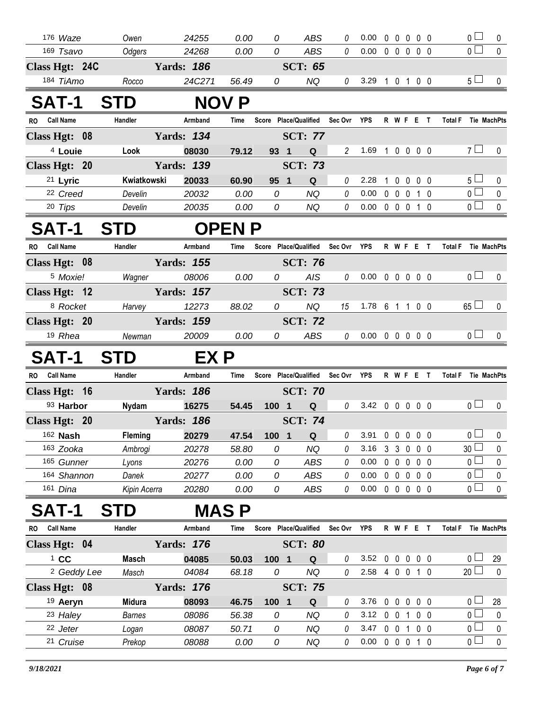| 176 Waze               | Owen                           | 24255                       | 0.00          | 0                     | <b>ABS</b>             | 0                  | 0.00                       | $00000$                |                |                            | 0 <sup>2</sup>         | 0                       |
|------------------------|--------------------------------|-----------------------------|---------------|-----------------------|------------------------|--------------------|----------------------------|------------------------|----------------|----------------------------|------------------------|-------------------------|
| 169 Tsavo              | Odgers                         | 24268                       | 0.00          | 0                     | ABS                    | 0                  | 0.00                       | $00000$                |                |                            | $\overline{0}$         | $\mathbf 0$             |
| Class Hgt: 24C         |                                | <b>Yards: 186</b>           |               |                       | <b>SCT: 65</b>         |                    |                            |                        |                |                            |                        |                         |
| 184 TiAmo              | Rocco                          | 24C271                      | 56.49         | 0                     | NQ                     | 0                  | 3.29 1 0 1 0 0             |                        |                |                            | $5\Box$                | $\mathbf 0$             |
| <b>SAT-1</b>           | <b>STD</b>                     |                             | <b>NOV P</b>  |                       |                        |                    |                            |                        |                |                            |                        |                         |
| <b>Call Name</b><br>RO | Handler                        | Armband                     | Time          | Score Place/Qualified |                        | Sec Ovr            | YPS                        | <b>RWFET</b>           |                | <b>Total F</b>             | Tie MachPts            |                         |
| Class Hgt: 08          |                                | <b>Yards: 134</b>           |               |                       | <b>SCT: 77</b>         |                    |                            |                        |                |                            |                        |                         |
| <sup>4</sup> Louie     | Look                           | 08030                       | 79.12         | 93 1                  | Q                      | $\overline{2}$     | 1.69 1 0 0 0 0             |                        |                |                            | 7 <sup>1</sup>         | 0                       |
| Class Hgt: 20          |                                | <b>Yards: 139</b>           |               |                       | <b>SCT: 73</b>         |                    |                            |                        |                |                            |                        |                         |
| 21 Lyric               | Kwiatkowski                    | 20033                       | 60.90         | 95 1                  | Q                      | 0                  | 2.28                       | 10000                  |                |                            | 5 <sub>1</sub>         | 0                       |
| <sup>22</sup> Creed    | Develin                        | 20032                       | 0.00          | 0                     | <b>NQ</b>              | 0                  | 0.00                       | 0 0 0 1 0              |                |                            | $\overline{0}$         | $\mathbf 0$             |
| 20 Tips                | Develin                        | 20035                       | 0.00          | 0                     | NQ                     | $\it{0}$           | $0.00 \t0 \t0 \t0 \t1 \t0$ |                        |                |                            | $\overline{0}$         | 0                       |
| SAT-1                  | <b>STD</b>                     |                             | <b>OPEN P</b> |                       |                        |                    |                            |                        |                |                            |                        |                         |
| RO Call Name           | Handler                        | Armband                     | Time          | Score Place/Qualified |                        | Sec Ovr YPS        |                            | <b>RWFET</b>           |                | <b>Total F</b> Tie MachPts |                        |                         |
| Class Hgt: 08          |                                | <b>Yards: 155</b>           |               |                       | <b>SCT: 76</b>         |                    |                            |                        |                |                            |                        |                         |
| <sup>5</sup> Moxie!    | Wagner                         | 08006                       | 0.00          | 0                     | AIS                    | 0                  | $0.00 \t0 \t0 \t0 \t0 \t0$ |                        |                |                            | 0 <sub>l</sub>         | $\mathbf 0$             |
| Class Hgt: 12          | <b>Example 3</b> Yards: 157    |                             |               |                       | <b>SCT: 73</b>         |                    |                            |                        |                |                            |                        |                         |
| 8 Rocket               | Harvey                         | 12273                       | 88.02         | 0                     | <b>NQ</b>              | 15                 | 1.78 6 1 1 0 0             |                        |                |                            | $65 \Box$              | 0                       |
| Class Hgt: 20          |                                | <b>Yards: 159</b>           |               |                       | <b>SCT: 72</b>         |                    |                            |                        |                |                            |                        |                         |
| 19 Rhea                | Newman                         | 20009                       | 0.00          | 0                     | ABS                    | 0                  | $0.00 \t0 \t0 \t0 \t0 \t0$ |                        |                |                            | 0 <sub>l</sub>         | 0                       |
|                        |                                |                             |               |                       |                        |                    |                            |                        |                |                            |                        |                         |
| SAT-1                  | <b>STD</b>                     | EX P                        |               |                       |                        |                    |                            |                        |                |                            |                        |                         |
| RO Call Name           | Handler                        | Armband                     | Time          | Score Place/Qualified |                        | Sec Ovr            | YPS                        | R W F E T              |                | Total F Tie MachPts        |                        |                         |
| Class Hgt: 16          |                                | <b>Yards: 186</b>           |               |                       | <b>SCT: 70</b>         |                    |                            |                        |                |                            |                        |                         |
| 93 Harbor              | Nydam                          | 16275                       | 54.45         | 100 1                 | Q                      | $\mathcal{O}$      | 3.42 0 0 0 0 0             |                        |                |                            | 0 <sub>l</sub>         | 0                       |
| Class Hgt: 20          | <b>Example 1881</b> Yards: 186 |                             |               |                       | <b>SCT: 74</b>         |                    |                            |                        |                |                            |                        |                         |
| 162 <b>Nash</b>        |                                | Fleming 20279 47.54 100 1 Q |               |                       |                        | $0$ 3.91 0 0 0 0 0 |                            |                        |                |                            | $\overline{0}$         | $\overline{\mathbf{0}}$ |
| 163 Zooka              | Ambrogi                        | 20278                       | 58.80         | 0                     | NQ                     | 0                  | 3.16                       | 3 3 0 0 0              |                |                            | 30 <sup>L</sup>        | 0                       |
| 165 Gunner             | Lyons                          | 20276                       | 0.00          | 0                     | ABS                    | 0                  | 0.00                       | 00000                  |                |                            | 0                      | $\pmb{0}$               |
| 164 Shannon            | Danek                          | 20277                       | 0.00          | 0                     | ABS                    | 0                  | 0.00                       | 00000                  |                |                            | 0 L                    | 0                       |
| 161 Dina               | Kipin Acerra                   | 20280                       | 0.00          | 0                     | ABS                    | $\it{0}$           | $0.00 \t0 \t0 \t0 \t0 \t0$ |                        |                |                            | 0 <sup>1</sup>         | $\mathbf 0$             |
| SAT-1                  | <b>STD</b>                     |                             | <b>MASP</b>   |                       |                        |                    |                            |                        |                |                            |                        |                         |
| <b>Call Name</b><br>RO | Handler                        | Armband                     | Time          | Score Place/Qualified |                        | Sec Ovr            | YPS                        | R W F E T              |                | <b>Total F</b>             | Tie MachPts            |                         |
| Class Hgt: 04          |                                | <b>Yards: 176</b>           |               |                       | <b>SCT: 80</b>         |                    |                            |                        |                |                            |                        |                         |
| $1$ CC                 | <b>Masch</b>                   | 04085                       | 50.03         | $100$ 1               | Q                      | 0                  | 3.52                       | $0\quad 0\quad 0$      | $0\quad 0$     |                            | 0 <sub>1</sub>         | 29                      |
| <sup>2</sup> Geddy Lee | Masch                          | 04084                       | 68.18         | 0                     | <b>NQ</b>              | 0                  | 2.58 4 0 0 1 0             |                        |                |                            | $20$ $\Box$            | 0                       |
| Class Hgt: 08          |                                | <b>Yards: 176</b>           |               |                       | <b>SCT: 75</b>         |                    |                            |                        |                |                            |                        |                         |
| 19 Aeryn               | Midura                         | 08093                       | 46.75         | $100$ 1               | Q                      | 0                  | 3.76                       | $0\quad 0\quad 0$      | 0 <sub>0</sub> |                            | 0 <sub>0</sub>         | 28                      |
| 23 Haley               | <b>Barnes</b>                  | 08086                       | 56.38         | 0                     | <b>NQ</b>              | 0                  | 3.12                       | 0 0 1 0 0              |                |                            | 0 <sub>0</sub>         | 0                       |
| 22 Jeter<br>21 Cruise  | Logan<br>Prekop                | 08087<br>08088              | 50.71<br>0.00 | 0<br>0                | <b>NQ</b><br><b>NQ</b> | 0<br>0             | 3.47<br>0.00               | 0 0 1 0 0<br>0 0 0 1 0 |                |                            | $0-$<br>0 <sub>0</sub> | $\pmb{0}$<br>$\pmb{0}$  |